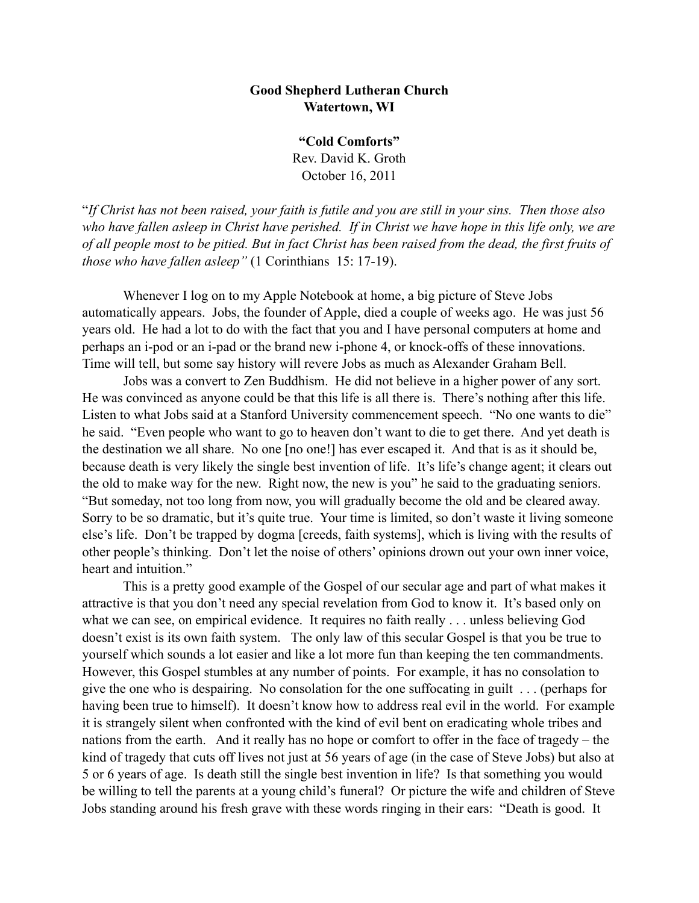## **Good Shepherd Lutheran Church Watertown, WI**

**"Cold Comforts"** Rev. David K. Groth October 16, 2011

"*If Christ has not been raised, your faith is futile and you are still in your sins. Then those also who have fallen asleep in Christ have perished. If in Christ we have hope in this life only, we are of all people most to be pitied. But in fact Christ has been raised from the dead, the first fruits of those who have fallen asleep"* (1 Corinthians 15: 17-19).

 Whenever I log on to my Apple Notebook at home, a big picture of Steve Jobs automatically appears. Jobs, the founder of Apple, died a couple of weeks ago. He was just 56 years old. He had a lot to do with the fact that you and I have personal computers at home and perhaps an i-pod or an i-pad or the brand new i-phone 4, or knock-offs of these innovations. Time will tell, but some say history will revere Jobs as much as Alexander Graham Bell.

 Jobs was a convert to Zen Buddhism. He did not believe in a higher power of any sort. He was convinced as anyone could be that this life is all there is. There's nothing after this life. Listen to what Jobs said at a Stanford University commencement speech. "No one wants to die" he said. "Even people who want to go to heaven don't want to die to get there. And yet death is the destination we all share. No one [no one!] has ever escaped it. And that is as it should be, because death is very likely the single best invention of life. It's life's change agent; it clears out the old to make way for the new. Right now, the new is you" he said to the graduating seniors. "But someday, not too long from now, you will gradually become the old and be cleared away. Sorry to be so dramatic, but it's quite true. Your time is limited, so don't waste it living someone else's life. Don't be trapped by dogma [creeds, faith systems], which is living with the results of other people's thinking. Don't let the noise of others' opinions drown out your own inner voice, heart and intuition."

 This is a pretty good example of the Gospel of our secular age and part of what makes it attractive is that you don't need any special revelation from God to know it. It's based only on what we can see, on empirical evidence. It requires no faith really . . . unless believing God doesn't exist is its own faith system. The only law of this secular Gospel is that you be true to yourself which sounds a lot easier and like a lot more fun than keeping the ten commandments. However, this Gospel stumbles at any number of points. For example, it has no consolation to give the one who is despairing. No consolation for the one suffocating in guilt . . . (perhaps for having been true to himself). It doesn't know how to address real evil in the world. For example it is strangely silent when confronted with the kind of evil bent on eradicating whole tribes and nations from the earth. And it really has no hope or comfort to offer in the face of tragedy – the kind of tragedy that cuts off lives not just at 56 years of age (in the case of Steve Jobs) but also at 5 or 6 years of age. Is death still the single best invention in life? Is that something you would be willing to tell the parents at a young child's funeral? Or picture the wife and children of Steve Jobs standing around his fresh grave with these words ringing in their ears: "Death is good. It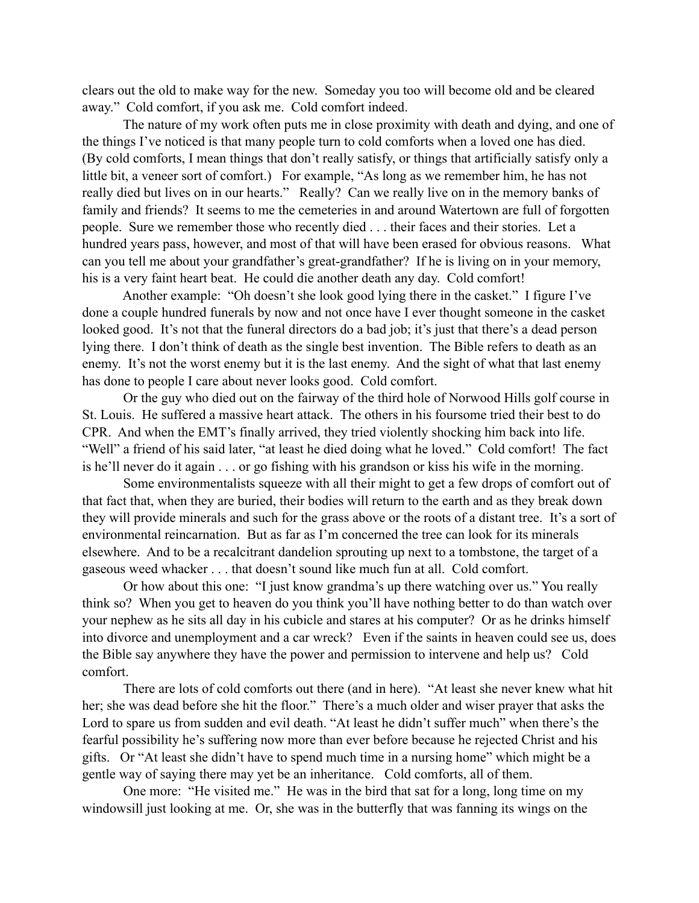clears out the old to make way for the new. Someday you too will become old and be cleared away." Cold comfort, if you ask me. Cold comfort indeed.

 The nature of my work often puts me in close proximity with death and dying, and one of the things I've noticed is that many people turn to cold comforts when a loved one has died. (By cold comforts, I mean things that don't really satisfy, or things that artificially satisfy only a little bit, a veneer sort of comfort.) For example, "As long as we remember him, he has not really died but lives on in our hearts." Really? Can we really live on in the memory banks of family and friends? It seems to me the cemeteries in and around Watertown are full of forgotten people. Sure we remember those who recently died . . . their faces and their stories. Let a hundred years pass, however, and most of that will have been erased for obvious reasons. What can you tell me about your grandfather's great-grandfather? If he is living on in your memory, his is a very faint heart beat. He could die another death any day. Cold comfort!

 Another example: "Oh doesn't she look good lying there in the casket." I figure I've done a couple hundred funerals by now and not once have I ever thought someone in the casket looked good. It's not that the funeral directors do a bad job; it's just that there's a dead person lying there. I don't think of death as the single best invention. The Bible refers to death as an enemy. It's not the worst enemy but it is the last enemy. And the sight of what that last enemy has done to people I care about never looks good. Cold comfort.

 Or the guy who died out on the fairway of the third hole of Norwood Hills golf course in St. Louis. He suffered a massive heart attack. The others in his foursome tried their best to do CPR. And when the EMT's finally arrived, they tried violently shocking him back into life. "Well" a friend of his said later, "at least he died doing what he loved." Cold comfort! The fact is he'll never do it again . . . or go fishing with his grandson or kiss his wife in the morning.

 Some environmentalists squeeze with all their might to get a few drops of comfort out of that fact that, when they are buried, their bodies will return to the earth and as they break down they will provide minerals and such for the grass above or the roots of a distant tree. It's a sort of environmental reincarnation. But as far as I'm concerned the tree can look for its minerals elsewhere. And to be a recalcitrant dandelion sprouting up next to a tombstone, the target of a gaseous weed whacker . . . that doesn't sound like much fun at all. Cold comfort.

Or how about this one: "I just know grandma's up there watching over us." You really think so? When you get to heaven do you think you'll have nothing better to do than watch over your nephew as he sits all day in his cubicle and stares at his computer? Or as he drinks himself into divorce and unemployment and a car wreck? Even if the saints in heaven could see us, does the Bible say anywhere they have the power and permission to intervene and help us? Cold comfort.

There are lots of cold comforts out there (and in here). "At least she never knew what hit her; she was dead before she hit the floor." There's a much older and wiser prayer that asks the Lord to spare us from sudden and evil death. "At least he didn't suffer much" when there's the fearful possibility he's suffering now more than ever before because he rejected Christ and his gifts. Or "At least she didn't have to spend much time in a nursing home" which might be a gentle way of saying there may yet be an inheritance. Cold comforts, all of them.

 One more: "He visited me." He was in the bird that sat for a long, long time on my windowsill just looking at me. Or, she was in the butterfly that was fanning its wings on the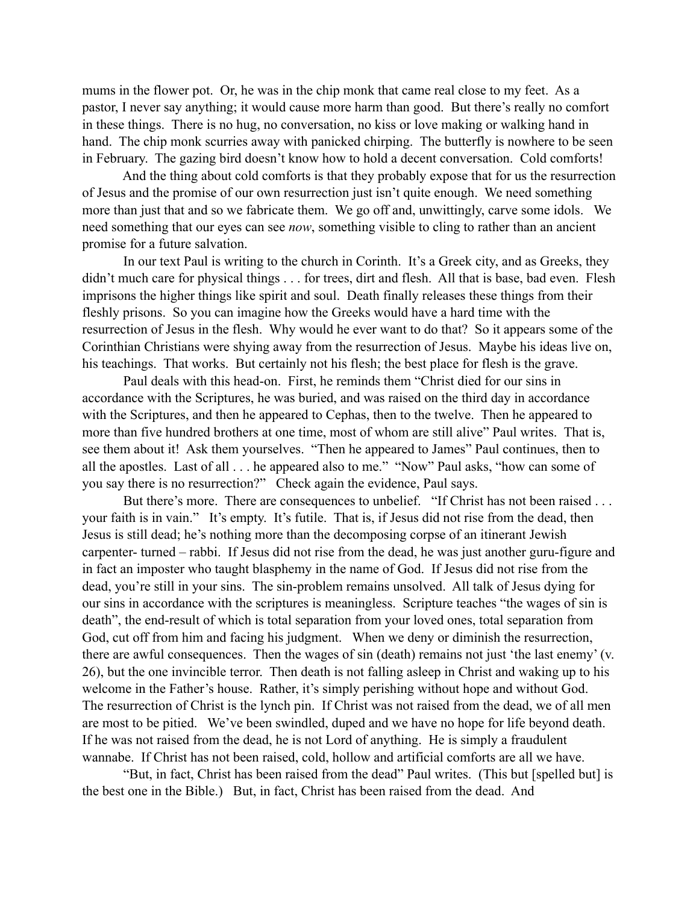mums in the flower pot. Or, he was in the chip monk that came real close to my feet. As a pastor, I never say anything; it would cause more harm than good. But there's really no comfort in these things. There is no hug, no conversation, no kiss or love making or walking hand in hand. The chip monk scurries away with panicked chirping. The butterfly is nowhere to be seen in February. The gazing bird doesn't know how to hold a decent conversation. Cold comforts!

 And the thing about cold comforts is that they probably expose that for us the resurrection of Jesus and the promise of our own resurrection just isn't quite enough. We need something more than just that and so we fabricate them. We go off and, unwittingly, carve some idols. We need something that our eyes can see *now*, something visible to cling to rather than an ancient promise for a future salvation.

 In our text Paul is writing to the church in Corinth. It's a Greek city, and as Greeks, they didn't much care for physical things . . . for trees, dirt and flesh. All that is base, bad even. Flesh imprisons the higher things like spirit and soul. Death finally releases these things from their fleshly prisons. So you can imagine how the Greeks would have a hard time with the resurrection of Jesus in the flesh. Why would he ever want to do that? So it appears some of the Corinthian Christians were shying away from the resurrection of Jesus. Maybe his ideas live on, his teachings. That works. But certainly not his flesh; the best place for flesh is the grave.

 Paul deals with this head-on. First, he reminds them "Christ died for our sins in accordance with the Scriptures, he was buried, and was raised on the third day in accordance with the Scriptures, and then he appeared to Cephas, then to the twelve. Then he appeared to more than five hundred brothers at one time, most of whom are still alive" Paul writes. That is, see them about it! Ask them yourselves. "Then he appeared to James" Paul continues, then to all the apostles. Last of all . . . he appeared also to me." "Now" Paul asks, "how can some of you say there is no resurrection?" Check again the evidence, Paul says.

But there's more. There are consequences to unbelief. "If Christ has not been raised . . . your faith is in vain." It's empty. It's futile. That is, if Jesus did not rise from the dead, then Jesus is still dead; he's nothing more than the decomposing corpse of an itinerant Jewish carpenter- turned – rabbi. If Jesus did not rise from the dead, he was just another guru-figure and in fact an imposter who taught blasphemy in the name of God. If Jesus did not rise from the dead, you're still in your sins. The sin-problem remains unsolved. All talk of Jesus dying for our sins in accordance with the scriptures is meaningless. Scripture teaches "the wages of sin is death", the end-result of which is total separation from your loved ones, total separation from God, cut off from him and facing his judgment. When we deny or diminish the resurrection, there are awful consequences. Then the wages of sin (death) remains not just 'the last enemy' (v. 26), but the one invincible terror. Then death is not falling asleep in Christ and waking up to his welcome in the Father's house. Rather, it's simply perishing without hope and without God. The resurrection of Christ is the lynch pin. If Christ was not raised from the dead, we of all men are most to be pitied. We've been swindled, duped and we have no hope for life beyond death. If he was not raised from the dead, he is not Lord of anything. He is simply a fraudulent wannabe. If Christ has not been raised, cold, hollow and artificial comforts are all we have.

 "But, in fact, Christ has been raised from the dead" Paul writes. (This but [spelled but] is the best one in the Bible.) But, in fact, Christ has been raised from the dead. And